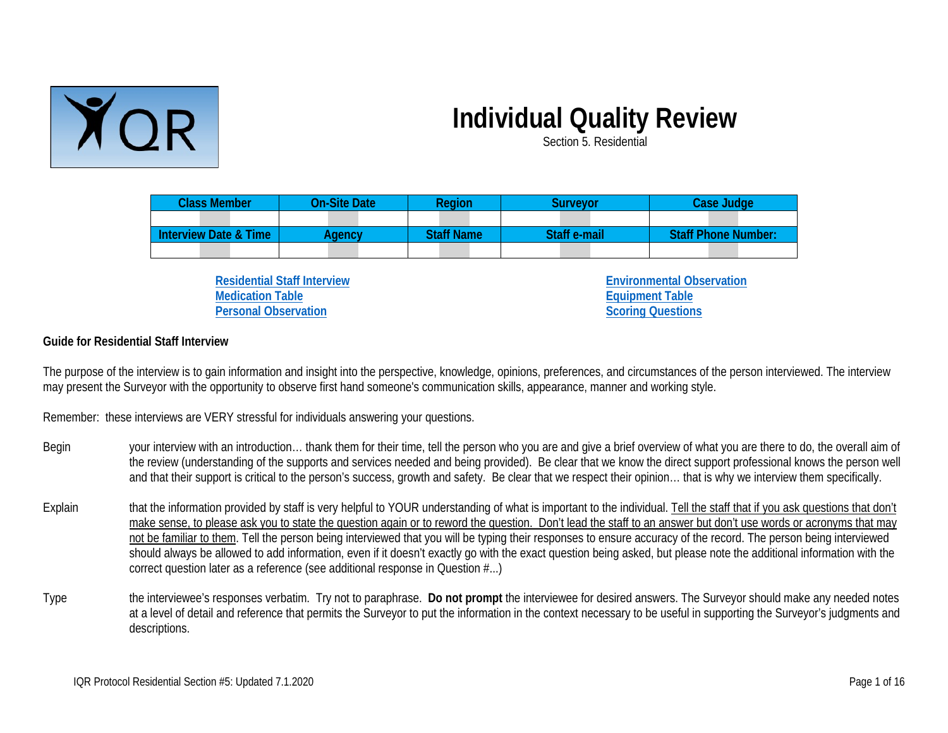

# **Individual Quality Review**

Section 5. Residential

| <b>Class Member</b>              | <b>On-Site Date</b> | Region            | Survevor     | Case Judge                 |
|----------------------------------|---------------------|-------------------|--------------|----------------------------|
|                                  |                     |                   |              |                            |
| <b>Interview Date &amp; Time</b> | <b>\aencv</b>       | <b>Staff Name</b> | Staff e-mail | <b>Staff Phone Number:</b> |
|                                  |                     |                   |              |                            |

**[Residential Staff Interview](#page-2-0) [Medication Table](#page-7-0) [Personal Observation](#page-8-0)**

**[Environmental Observation](#page-8-1) [Equipment Table](#page-11-0) [Scoring Questions](#page-12-0)**

### **Guide for Residential Staff Interview**

The purpose of the interview is to gain information and insight into the perspective, knowledge, opinions, preferences, and circumstances of the person interviewed. The interview may present the Surveyor with the opportunity to observe first hand someone's communication skills, appearance, manner and working style.

Remember: these interviews are VERY stressful for individuals answering your questions.

- Begin your interview with an introduction... thank them for their time, tell the person who you are and give a brief overview of what you are there to do, the overall aim of the review (understanding of the supports and services needed and being provided). Be clear that we know the direct support professional knows the person well and that their support is critical to the person's success, growth and safety. Be clear that we respect their opinion… that is why we interview them specifically.
- Explain that the information provided by staff is very helpful to YOUR understanding of what is important to the individual. Tell the staff that if you ask questions that don't make sense, to please ask you to state the question again or to reword the question. Don't lead the staff to an answer but don't use words or acronyms that may not be familiar to them. Tell the person being interviewed that you will be typing their responses to ensure accuracy of the record. The person being interviewed should always be allowed to add information, even if it doesn't exactly go with the exact question being asked, but please note the additional information with the correct question later as a reference (see additional response in Question #...)
- Type the interviewee's responses verbatim. Try not to paraphrase. **Do not prompt** the interviewee for desired answers. The Surveyor should make any needed notes at a level of detail and reference that permits the Surveyor to put the information in the context necessary to be useful in supporting the Surveyor's judgments and descriptions.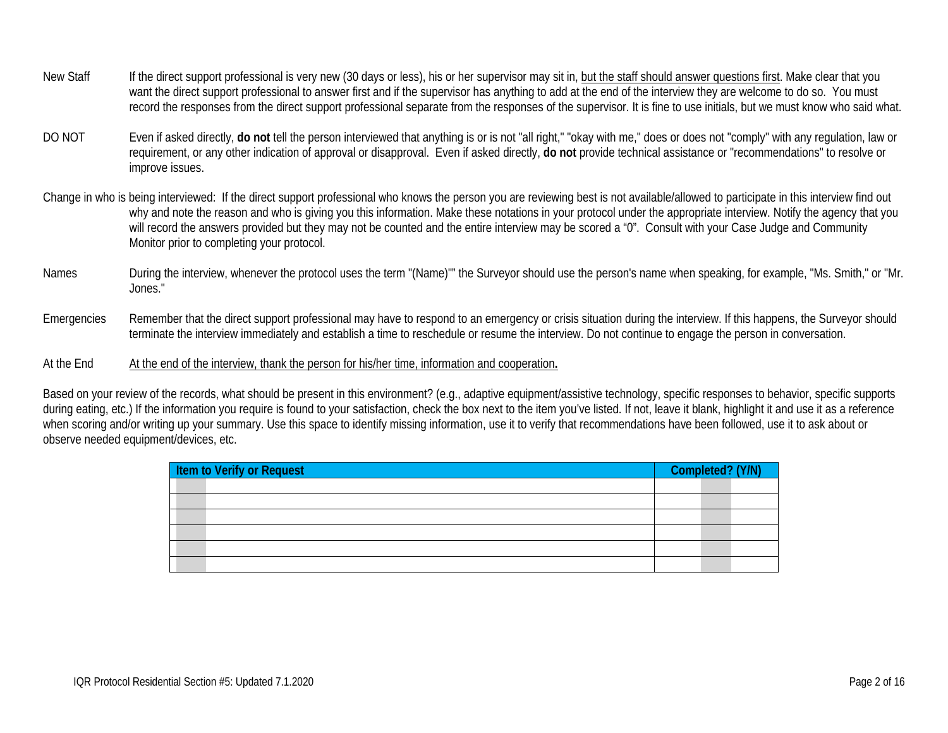- New Staff If the direct support professional is very new (30 days or less), his or her supervisor may sit in, but the staff should answer questions first. Make clear that you want the direct support professional to answer first and if the supervisor has anything to add at the end of the interview they are welcome to do so. You must record the responses from the direct support professional separate from the responses of the supervisor. It is fine to use initials, but we must know who said what.
- DO NOT Even if asked directly, **do not** tell the person interviewed that anything is or is not "all right," "okay with me," does or does not "comply" with any regulation, law or requirement, or any other indication of approval or disapproval. Even if asked directly, **do not** provide technical assistance or "recommendations" to resolve or improve issues.
- Change in who is being interviewed: If the direct support professional who knows the person you are reviewing best is not available/allowed to participate in this interview find out why and note the reason and who is giving you this information. Make these notations in your protocol under the appropriate interview. Notify the agency that you will record the answers provided but they may not be counted and the entire interview may be scored a "0". Consult with your Case Judge and Community Monitor prior to completing your protocol.
- Names During the interview, whenever the protocol uses the term "(Name)" the Surveyor should use the person's name when speaking, for example, "Ms. Smith," or "Mr. Jones."
- Emergencies Remember that the direct support professional may have to respond to an emergency or crisis situation during the interview. If this happens, the Surveyor should terminate the interview immediately and establish a time to reschedule or resume the interview. Do not continue to engage the person in conversation.
- At the End At the end of the interview, thank the person for his/her time, information and cooperation.

Based on your review of the records, what should be present in this environment? (e.g., adaptive equipment/assistive technology, specific responses to behavior, specific supports during eating, etc.) If the information you require is found to your satisfaction, check the box next to the item you've listed. If not, leave it blank, highlight it and use it as a reference when scoring and/or writing up your summary. Use this space to identify missing information, use it to verify that recommendations have been followed, use it to ask about or observe needed equipment/devices, etc.

| <b>Item to Verify or Request</b> |  | Completed? (Y/N) |  |
|----------------------------------|--|------------------|--|
|                                  |  |                  |  |
|                                  |  |                  |  |
|                                  |  |                  |  |
|                                  |  |                  |  |
|                                  |  |                  |  |
|                                  |  |                  |  |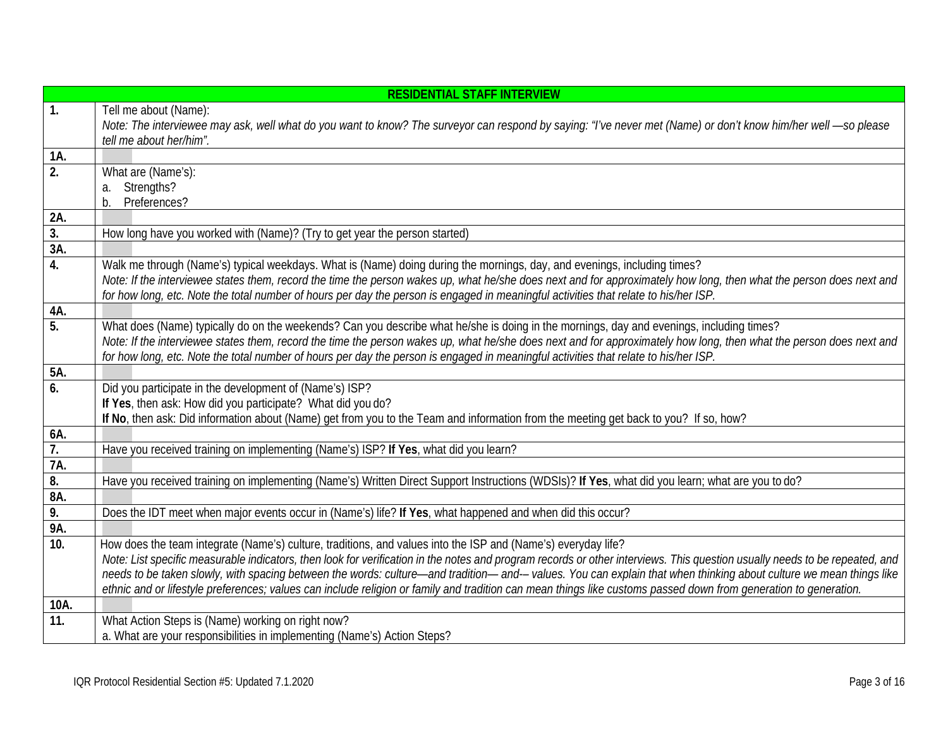<span id="page-2-0"></span>

|                   | <b>RESIDENTIAL STAFF INTERVIEW</b>                                                                                                                                                                                                                                                                          |
|-------------------|-------------------------------------------------------------------------------------------------------------------------------------------------------------------------------------------------------------------------------------------------------------------------------------------------------------|
| 1.                | Tell me about (Name):                                                                                                                                                                                                                                                                                       |
|                   | Note: The interviewee may ask, well what do you want to know? The surveyor can respond by saying: "I've never met (Name) or don't know him/her well -so please                                                                                                                                              |
|                   | tell me about her/him".                                                                                                                                                                                                                                                                                     |
| 1A.               |                                                                                                                                                                                                                                                                                                             |
| 2.                | What are (Name's):                                                                                                                                                                                                                                                                                          |
|                   | Strengths?<br>a.                                                                                                                                                                                                                                                                                            |
|                   | Preferences?<br>b.                                                                                                                                                                                                                                                                                          |
| 2A.               |                                                                                                                                                                                                                                                                                                             |
| 3.                | How long have you worked with (Name)? (Try to get year the person started)                                                                                                                                                                                                                                  |
| 3A.               |                                                                                                                                                                                                                                                                                                             |
| 4.                | Walk me through (Name's) typical weekdays. What is (Name) doing during the mornings, day, and evenings, including times?                                                                                                                                                                                    |
|                   | Note: If the interviewee states them, record the time the person wakes up, what he/she does next and for approximately how long, then what the person does next and<br>for how long, etc. Note the total number of hours per day the person is engaged in meaningful activities that relate to his/her ISP. |
| 4A.               |                                                                                                                                                                                                                                                                                                             |
| 5.                | What does (Name) typically do on the weekends? Can you describe what he/she is doing in the mornings, day and evenings, including times?                                                                                                                                                                    |
|                   | Note: If the interviewee states them, record the time the person wakes up, what he/she does next and for approximately how long, then what the person does next and                                                                                                                                         |
|                   | for how long, etc. Note the total number of hours per day the person is engaged in meaningful activities that relate to his/her ISP.                                                                                                                                                                        |
| 5A.               |                                                                                                                                                                                                                                                                                                             |
| 6.                | Did you participate in the development of (Name's) ISP?                                                                                                                                                                                                                                                     |
|                   | If Yes, then ask: How did you participate? What did you do?                                                                                                                                                                                                                                                 |
|                   | If No, then ask: Did information about (Name) get from you to the Team and information from the meeting get back to you? If so, how?                                                                                                                                                                        |
| 6A.               |                                                                                                                                                                                                                                                                                                             |
| 7.                | Have you received training on implementing (Name's) ISP? If Yes, what did you learn?                                                                                                                                                                                                                        |
| 7A.               |                                                                                                                                                                                                                                                                                                             |
| 8.                | Have you received training on implementing (Name's) Written Direct Support Instructions (WDSIs)? If Yes, what did you learn; what are you to do?                                                                                                                                                            |
| 8A.               |                                                                                                                                                                                                                                                                                                             |
| 9.                | Does the IDT meet when major events occur in (Name's) life? If Yes, what happened and when did this occur?                                                                                                                                                                                                  |
| 9Α.               |                                                                                                                                                                                                                                                                                                             |
| 10.               | How does the team integrate (Name's) culture, traditions, and values into the ISP and (Name's) everyday life?                                                                                                                                                                                               |
|                   | Note: List specific measurable indicators, then look for verification in the notes and program records or other interviews. This question usually needs to be repeated, and                                                                                                                                 |
|                   | needs to be taken slowly, with spacing between the words: culture—and tradition—and--values. You can explain that when thinking about culture we mean things like                                                                                                                                           |
|                   | ethnic and or lifestyle preferences; values can include religion or family and tradition can mean things like customs passed down from generation to generation.                                                                                                                                            |
| 10A.              |                                                                                                                                                                                                                                                                                                             |
| $\overline{11}$ . | What Action Steps is (Name) working on right now?                                                                                                                                                                                                                                                           |
|                   | a. What are your responsibilities in implementing (Name's) Action Steps?                                                                                                                                                                                                                                    |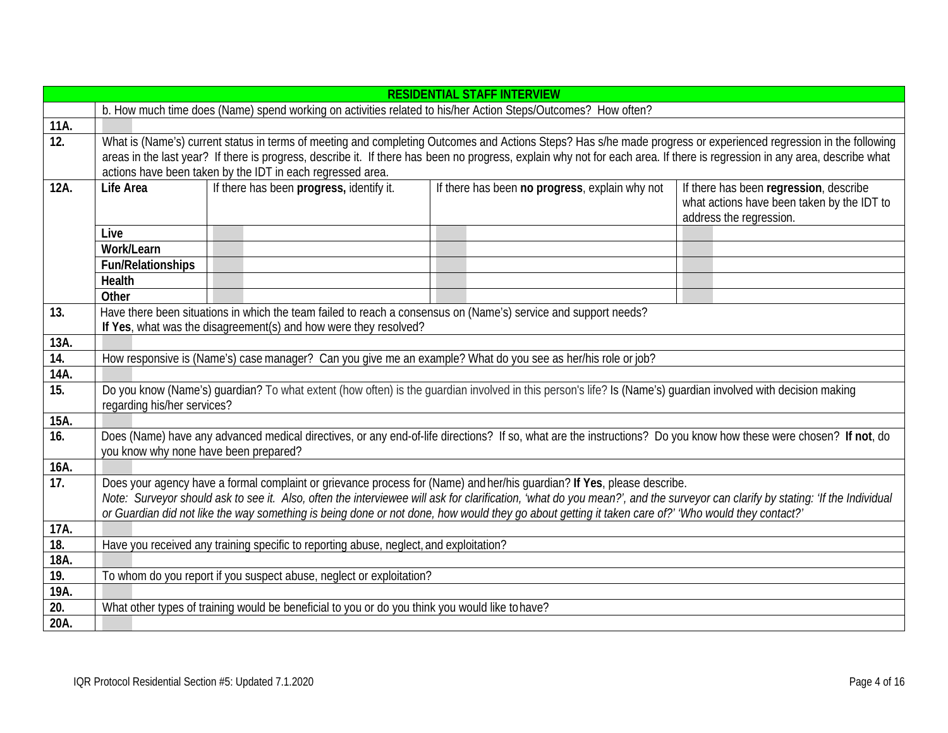|                    | <b>RESIDENTIAL STAFF INTERVIEW</b>                                                                                                                                                                                                                                                                                                                                                                                                                             |                                                                  |                                                                                                                 |                                                                                                                 |  |
|--------------------|----------------------------------------------------------------------------------------------------------------------------------------------------------------------------------------------------------------------------------------------------------------------------------------------------------------------------------------------------------------------------------------------------------------------------------------------------------------|------------------------------------------------------------------|-----------------------------------------------------------------------------------------------------------------|-----------------------------------------------------------------------------------------------------------------|--|
|                    | b. How much time does (Name) spend working on activities related to his/her Action Steps/Outcomes? How often?                                                                                                                                                                                                                                                                                                                                                  |                                                                  |                                                                                                                 |                                                                                                                 |  |
| 11A.               |                                                                                                                                                                                                                                                                                                                                                                                                                                                                |                                                                  |                                                                                                                 |                                                                                                                 |  |
| $\overline{12}$ .  | What is (Name's) current status in terms of meeting and completing Outcomes and Actions Steps? Has s/he made progress or experienced regression in the following<br>areas in the last year? If there is progress, describe it. If there has been no progress, explain why not for each area. If there is regression in any area, describe what<br>actions have been taken by the IDT in each regressed area.                                                   |                                                                  |                                                                                                                 |                                                                                                                 |  |
| 12A.               | <b>Life Area</b>                                                                                                                                                                                                                                                                                                                                                                                                                                               | If there has been progress, identify it.                         | If there has been no progress, explain why not                                                                  | If there has been regression, describe<br>what actions have been taken by the IDT to<br>address the regression. |  |
|                    | Live                                                                                                                                                                                                                                                                                                                                                                                                                                                           |                                                                  |                                                                                                                 |                                                                                                                 |  |
|                    | Work/Learn                                                                                                                                                                                                                                                                                                                                                                                                                                                     |                                                                  |                                                                                                                 |                                                                                                                 |  |
|                    | <b>Fun/Relationships</b>                                                                                                                                                                                                                                                                                                                                                                                                                                       |                                                                  |                                                                                                                 |                                                                                                                 |  |
|                    | <b>Health</b>                                                                                                                                                                                                                                                                                                                                                                                                                                                  |                                                                  |                                                                                                                 |                                                                                                                 |  |
|                    | Other                                                                                                                                                                                                                                                                                                                                                                                                                                                          |                                                                  |                                                                                                                 |                                                                                                                 |  |
| 13.                |                                                                                                                                                                                                                                                                                                                                                                                                                                                                |                                                                  | Have there been situations in which the team failed to reach a consensus on (Name's) service and support needs? |                                                                                                                 |  |
|                    |                                                                                                                                                                                                                                                                                                                                                                                                                                                                | If Yes, what was the disagreement(s) and how were they resolved? |                                                                                                                 |                                                                                                                 |  |
| 13A.               |                                                                                                                                                                                                                                                                                                                                                                                                                                                                |                                                                  |                                                                                                                 |                                                                                                                 |  |
| 14.                | How responsive is (Name's) case manager? Can you give me an example? What do you see as her/his role or job?                                                                                                                                                                                                                                                                                                                                                   |                                                                  |                                                                                                                 |                                                                                                                 |  |
| 14A.               |                                                                                                                                                                                                                                                                                                                                                                                                                                                                |                                                                  |                                                                                                                 |                                                                                                                 |  |
| 15.                | Do you know (Name's) guardian? To what extent (how often) is the guardian involved in this person's life? Is (Name's) guardian involved with decision making<br>regarding his/her services?                                                                                                                                                                                                                                                                    |                                                                  |                                                                                                                 |                                                                                                                 |  |
| $15\overline{A}$ . |                                                                                                                                                                                                                                                                                                                                                                                                                                                                |                                                                  |                                                                                                                 |                                                                                                                 |  |
| 16.                | Does (Name) have any advanced medical directives, or any end-of-life directions? If so, what are the instructions? Do you know how these were chosen? If not, do<br>you know why none have been prepared?                                                                                                                                                                                                                                                      |                                                                  |                                                                                                                 |                                                                                                                 |  |
| 16A.               |                                                                                                                                                                                                                                                                                                                                                                                                                                                                |                                                                  |                                                                                                                 |                                                                                                                 |  |
| 17.                | Does your agency have a formal complaint or grievance process for (Name) and her/his guardian? If Yes, please describe.<br>Note: Surveyor should ask to see it. Also, often the interviewee will ask for clarification, 'what do you mean?', and the surveyor can clarify by stating: 'If the Individual<br>or Guardian did not like the way something is being done or not done, how would they go about getting it taken care of?' 'Who would they contact?' |                                                                  |                                                                                                                 |                                                                                                                 |  |
| 17A.               |                                                                                                                                                                                                                                                                                                                                                                                                                                                                |                                                                  |                                                                                                                 |                                                                                                                 |  |
| 18.                | Have you received any training specific to reporting abuse, neglect, and exploitation?                                                                                                                                                                                                                                                                                                                                                                         |                                                                  |                                                                                                                 |                                                                                                                 |  |
| 18A.               |                                                                                                                                                                                                                                                                                                                                                                                                                                                                |                                                                  |                                                                                                                 |                                                                                                                 |  |
| 19.                | To whom do you report if you suspect abuse, neglect or exploitation?                                                                                                                                                                                                                                                                                                                                                                                           |                                                                  |                                                                                                                 |                                                                                                                 |  |
| 19A.               |                                                                                                                                                                                                                                                                                                                                                                                                                                                                |                                                                  |                                                                                                                 |                                                                                                                 |  |
| 20.                | What other types of training would be beneficial to you or do you think you would like to have?                                                                                                                                                                                                                                                                                                                                                                |                                                                  |                                                                                                                 |                                                                                                                 |  |
| 20A.               |                                                                                                                                                                                                                                                                                                                                                                                                                                                                |                                                                  |                                                                                                                 |                                                                                                                 |  |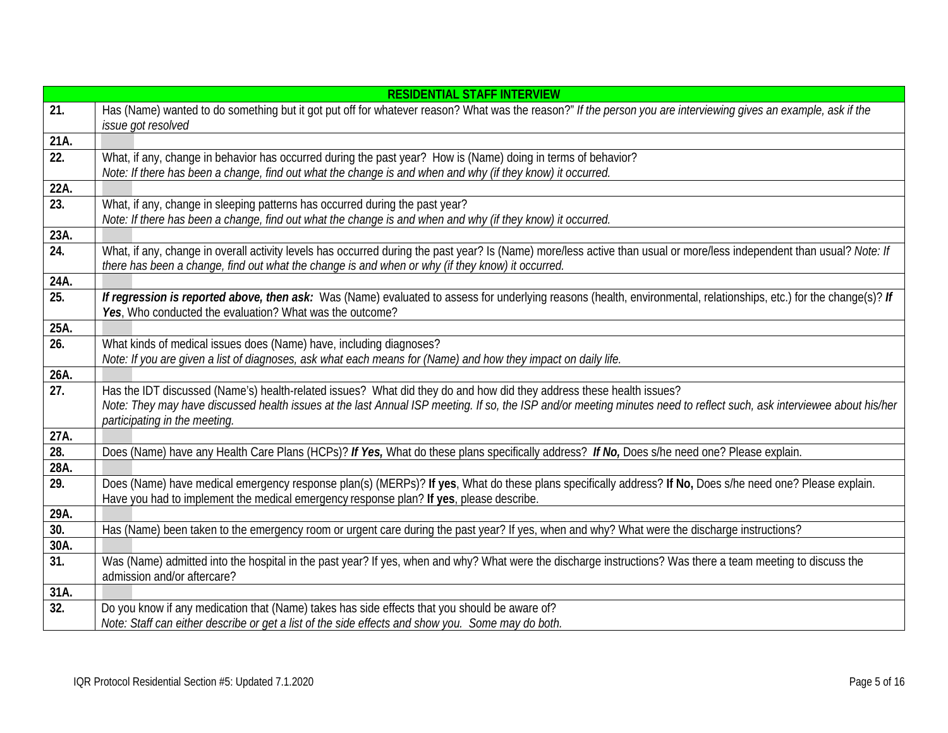|                           | <b>RESIDENTIAL STAFF INTERVIEW</b>                                                                                                                                                                                                                                         |
|---------------------------|----------------------------------------------------------------------------------------------------------------------------------------------------------------------------------------------------------------------------------------------------------------------------|
| 21.                       | Has (Name) wanted to do something but it got put off for whatever reason? What was the reason?" If the person you are interviewing gives an example, ask if the<br>issue got resolved                                                                                      |
| 21A.                      |                                                                                                                                                                                                                                                                            |
| 22.                       | What, if any, change in behavior has occurred during the past year? How is (Name) doing in terms of behavior?                                                                                                                                                              |
|                           | Note: If there has been a change, find out what the change is and when and why (if they know) it occurred.                                                                                                                                                                 |
| 22A.                      |                                                                                                                                                                                                                                                                            |
| $\overline{23}$ .         | What, if any, change in sleeping patterns has occurred during the past year?                                                                                                                                                                                               |
|                           | Note: If there has been a change, find out what the change is and when and why (if they know) it occurred.                                                                                                                                                                 |
| 23A.                      |                                                                                                                                                                                                                                                                            |
| $\overline{24}$ .         | What, if any, change in overall activity levels has occurred during the past year? Is (Name) more/less active than usual or more/less independent than usual? Note: If<br>there has been a change, find out what the change is and when or why (if they know) it occurred. |
| 24A.                      |                                                                                                                                                                                                                                                                            |
| 25.                       | If regression is reported above, then ask: Was (Name) evaluated to assess for underlying reasons (health, environmental, relationships, etc.) for the change(s)? If<br>Yes, Who conducted the evaluation? What was the outcome?                                            |
| 25A.                      |                                                                                                                                                                                                                                                                            |
| $\overline{26}$ .         | What kinds of medical issues does (Name) have, including diagnoses?                                                                                                                                                                                                        |
|                           | Note: If you are given a list of diagnoses, ask what each means for (Name) and how they impact on daily life.                                                                                                                                                              |
| 26A.                      |                                                                                                                                                                                                                                                                            |
| 27.                       | Has the IDT discussed (Name's) health-related issues? What did they do and how did they address these health issues?                                                                                                                                                       |
|                           | Note: They may have discussed health issues at the last Annual ISP meeting. If so, the ISP and/or meeting minutes need to reflect such, ask interviewee about his/her                                                                                                      |
|                           | participating in the meeting.                                                                                                                                                                                                                                              |
| 27A.<br>$\overline{28}$ . | Does (Name) have any Health Care Plans (HCPs)? If Yes, What do these plans specifically address? If No, Does s/he need one? Please explain.                                                                                                                                |
| 28A.                      |                                                                                                                                                                                                                                                                            |
| 29.                       | Does (Name) have medical emergency response plan(s) (MERPs)? If yes, What do these plans specifically address? If No, Does s/he need one? Please explain.                                                                                                                  |
|                           | Have you had to implement the medical emergency response plan? If yes, please describe.                                                                                                                                                                                    |
| 29A.                      |                                                                                                                                                                                                                                                                            |
| 30.                       | Has (Name) been taken to the emergency room or urgent care during the past year? If yes, when and why? What were the discharge instructions?                                                                                                                               |
| 30A.                      |                                                                                                                                                                                                                                                                            |
| $\overline{31}$ .         | Was (Name) admitted into the hospital in the past year? If yes, when and why? What were the discharge instructions? Was there a team meeting to discuss the                                                                                                                |
|                           | admission and/or aftercare?                                                                                                                                                                                                                                                |
| 31A.                      |                                                                                                                                                                                                                                                                            |
| 32.                       | Do you know if any medication that (Name) takes has side effects that you should be aware of?                                                                                                                                                                              |
|                           | Note: Staff can either describe or get a list of the side effects and show you. Some may do both.                                                                                                                                                                          |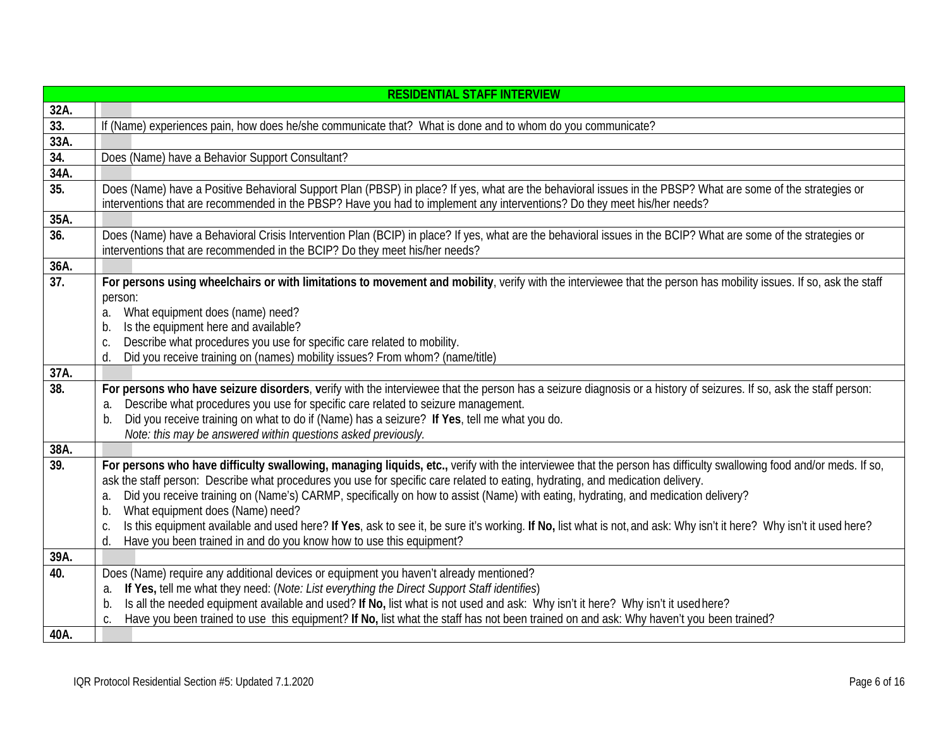|                   | <b>RESIDENTIAL STAFF INTERVIEW</b>                                                                                                                                                            |
|-------------------|-----------------------------------------------------------------------------------------------------------------------------------------------------------------------------------------------|
| 32A.              |                                                                                                                                                                                               |
| 33.               | If (Name) experiences pain, how does he/she communicate that? What is done and to whom do you communicate?                                                                                    |
| 33A.              |                                                                                                                                                                                               |
| 34.               | Does (Name) have a Behavior Support Consultant?                                                                                                                                               |
| 34A.              |                                                                                                                                                                                               |
| 35.               | Does (Name) have a Positive Behavioral Support Plan (PBSP) in place? If yes, what are the behavioral issues in the PBSP? What are some of the strategies or                                   |
|                   | interventions that are recommended in the PBSP? Have you had to implement any interventions? Do they meet his/her needs?                                                                      |
| 35A.              |                                                                                                                                                                                               |
| 36.               | Does (Name) have a Behavioral Crisis Intervention Plan (BCIP) in place? If yes, what are the behavioral issues in the BCIP? What are some of the strategies or                                |
|                   | interventions that are recommended in the BCIP? Do they meet his/her needs?                                                                                                                   |
| 36A.              |                                                                                                                                                                                               |
| 37.               | For persons using wheelchairs or with limitations to movement and mobility, verify with the interviewee that the person has mobility issues. If so, ask the staff                             |
|                   | person:                                                                                                                                                                                       |
|                   | What equipment does (name) need?<br>a.                                                                                                                                                        |
|                   | Is the equipment here and available?<br>b.                                                                                                                                                    |
|                   | Describe what procedures you use for specific care related to mobility.<br>C.                                                                                                                 |
| 37A.              | Did you receive training on (names) mobility issues? From whom? (name/title)<br>d.                                                                                                            |
| 38.               |                                                                                                                                                                                               |
|                   | For persons who have seizure disorders, verify with the interviewee that the person has a seizure diagnosis or a history of seizures. If so, ask the staff person:                            |
|                   | Describe what procedures you use for specific care related to seizure management.<br>a.<br>Did you receive training on what to do if (Name) has a seizure? If Yes, tell me what you do.<br>b. |
|                   | Note: this may be answered within questions asked previously.                                                                                                                                 |
| 38A.              |                                                                                                                                                                                               |
| $\overline{39}$ . | For persons who have difficulty swallowing, managing liquids, etc., verify with the interviewee that the person has difficulty swallowing food and/or meds. If so,                            |
|                   | ask the staff person: Describe what procedures you use for specific care related to eating, hydrating, and medication delivery.                                                               |
|                   | Did you receive training on (Name's) CARMP, specifically on how to assist (Name) with eating, hydrating, and medication delivery?<br>a.                                                       |
|                   | What equipment does (Name) need?<br>b.                                                                                                                                                        |
|                   | Is this equipment available and used here? If Yes, ask to see it, be sure it's working. If No, list what is not, and ask: Why isn't it here? Why isn't it used here?<br>C.                    |
|                   | Have you been trained in and do you know how to use this equipment?<br>d.                                                                                                                     |
| 39A.              |                                                                                                                                                                                               |
| 40.               | Does (Name) require any additional devices or equipment you haven't already mentioned?                                                                                                        |
|                   | If Yes, tell me what they need: (Note: List everything the Direct Support Staff identifies)<br>a.                                                                                             |
|                   | Is all the needed equipment available and used? If No, list what is not used and ask: Why isn't it here? Why isn't it used here?<br>b.                                                        |
|                   | Have you been trained to use this equipment? If No, list what the staff has not been trained on and ask: Why haven't you been trained?<br>C.                                                  |
| 40A.              |                                                                                                                                                                                               |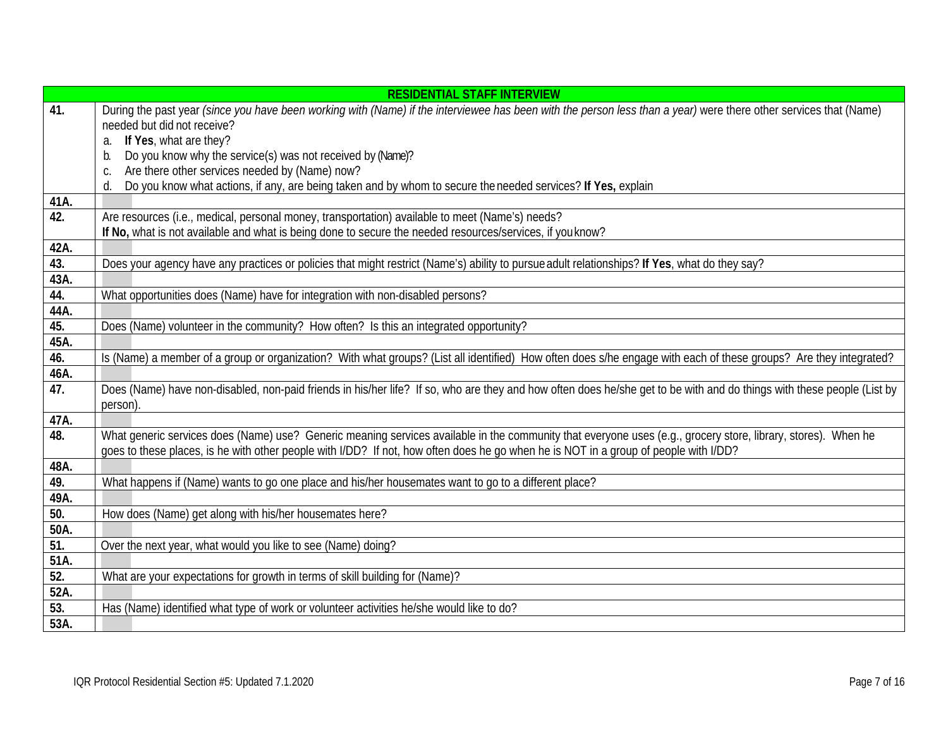|      | <b>RESIDENTIAL STAFF INTERVIEW</b>                                                                                                                                                 |
|------|------------------------------------------------------------------------------------------------------------------------------------------------------------------------------------|
| 41.  | During the past year (since you have been working with (Name) if the interviewee has been with the person less than a year) were there other services that (Name)                  |
|      | needed but did not receive?                                                                                                                                                        |
|      | If Yes, what are they?<br>a.                                                                                                                                                       |
|      | Do you know why the service(s) was not received by (Name)?<br>b.                                                                                                                   |
|      | Are there other services needed by (Name) now?<br>C.                                                                                                                               |
|      | Do you know what actions, if any, are being taken and by whom to secure the needed services? If Yes, explain<br>d.                                                                 |
| 41A. |                                                                                                                                                                                    |
| 42.  | Are resources (i.e., medical, personal money, transportation) available to meet (Name's) needs?                                                                                    |
|      | If No, what is not available and what is being done to secure the needed resources/services, if you know?                                                                          |
| 42A. |                                                                                                                                                                                    |
| 43.  | Does your agency have any practices or policies that might restrict (Name's) ability to pursue adult relationships? If Yes, what do they say?                                      |
| 43A. |                                                                                                                                                                                    |
| 44.  | What opportunities does (Name) have for integration with non-disabled persons?                                                                                                     |
| 44A. |                                                                                                                                                                                    |
| 45.  | Does (Name) volunteer in the community? How often? Is this an integrated opportunity?                                                                                              |
| 45A. |                                                                                                                                                                                    |
| 46.  | Is (Name) a member of a group or organization? With what groups? (List all identified) How often does s/he engage with each of these groups? Are they integrated?                  |
| 46A. |                                                                                                                                                                                    |
| 47.  | Does (Name) have non-disabled, non-paid friends in his/her life? If so, who are they and how often does he/she get to be with and do things with these people (List by<br>person). |
| 47A. |                                                                                                                                                                                    |
| 48.  | What generic services does (Name) use? Generic meaning services available in the community that everyone uses (e.g., grocery store, library, stores). When he                      |
|      | goes to these places, is he with other people with I/DD? If not, how often does he go when he is NOT in a group of people with I/DD?                                               |
| 48A. |                                                                                                                                                                                    |
| 49.  | What happens if (Name) wants to go one place and his/her housemates want to go to a different place?                                                                               |
| 49A. |                                                                                                                                                                                    |
| 50.  | How does (Name) get along with his/her housemates here?                                                                                                                            |
| 50A. |                                                                                                                                                                                    |
| 51.  | Over the next year, what would you like to see (Name) doing?                                                                                                                       |
| 51A. |                                                                                                                                                                                    |
| 52.  | What are your expectations for growth in terms of skill building for (Name)?                                                                                                       |
| 52A. |                                                                                                                                                                                    |
| 53.  | Has (Name) identified what type of work or volunteer activities he/she would like to do?                                                                                           |
| 53A. |                                                                                                                                                                                    |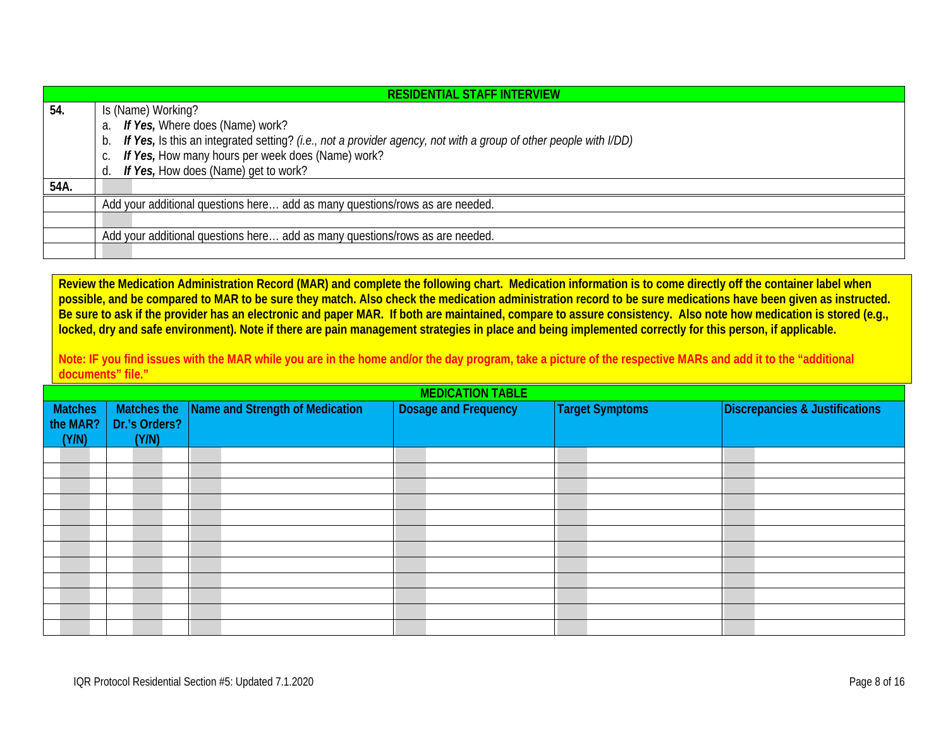|      | <b>RESIDENTIAL STAFF INTERVIEW</b>                                                                                     |  |  |  |
|------|------------------------------------------------------------------------------------------------------------------------|--|--|--|
| 54.  | Is (Name) Working?                                                                                                     |  |  |  |
|      | If Yes, Where does (Name) work?<br>a.                                                                                  |  |  |  |
|      | If Yes, Is this an integrated setting? (i.e., not a provider agency, not with a group of other people with I/DD)<br>b. |  |  |  |
|      | If Yes, How many hours per week does (Name) work?<br>С.                                                                |  |  |  |
|      | If Yes, How does (Name) get to work?<br>d.                                                                             |  |  |  |
| 54A. |                                                                                                                        |  |  |  |
|      | Add your additional questions here add as many questions/rows as are needed.                                           |  |  |  |
|      |                                                                                                                        |  |  |  |
|      | Add your additional questions here add as many questions/rows as are needed.                                           |  |  |  |
|      |                                                                                                                        |  |  |  |

**Review the Medication Administration Record (MAR) and complete the following chart. Medication information is to come directly off the container label when possible, and be compared to MAR to be sure they match. Also check the medication administration record to be sure medications have been given as instructed. Be sure to ask if the provider has an electronic and paper MAR. If both are maintained, compare to assure consistency. Also note how medication is stored (e.g., locked, dry and safe environment). Note if there are pain management strategies in place and being implemented correctly for this person, if applicable.**

**Note: IF you find issues with the MAR while you are in the home and/or the day program, take a picture of the respective MARs and add it to the "additional documents" file."**

<span id="page-7-0"></span>

| <b>MEDICATION TABLE</b> |                              |                                 |                      |                        |                                |
|-------------------------|------------------------------|---------------------------------|----------------------|------------------------|--------------------------------|
|                         |                              | Name and Strength of Medication | Dosage and Frequency | <b>Target Symptoms</b> | Discrepancies & Justifications |
| Matches<br>the MAR?     | Matches the<br>Dr.'s Orders? |                                 |                      |                        |                                |
| (Y/N)                   | (Y/N)                        |                                 |                      |                        |                                |
|                         |                              |                                 |                      |                        |                                |
|                         |                              |                                 |                      |                        |                                |
|                         |                              |                                 |                      |                        |                                |
|                         |                              |                                 |                      |                        |                                |
|                         |                              |                                 |                      |                        |                                |
|                         |                              |                                 |                      |                        |                                |
|                         |                              |                                 |                      |                        |                                |
|                         |                              |                                 |                      |                        |                                |
|                         |                              |                                 |                      |                        |                                |
|                         |                              |                                 |                      |                        |                                |
|                         |                              |                                 |                      |                        |                                |
|                         |                              |                                 |                      |                        |                                |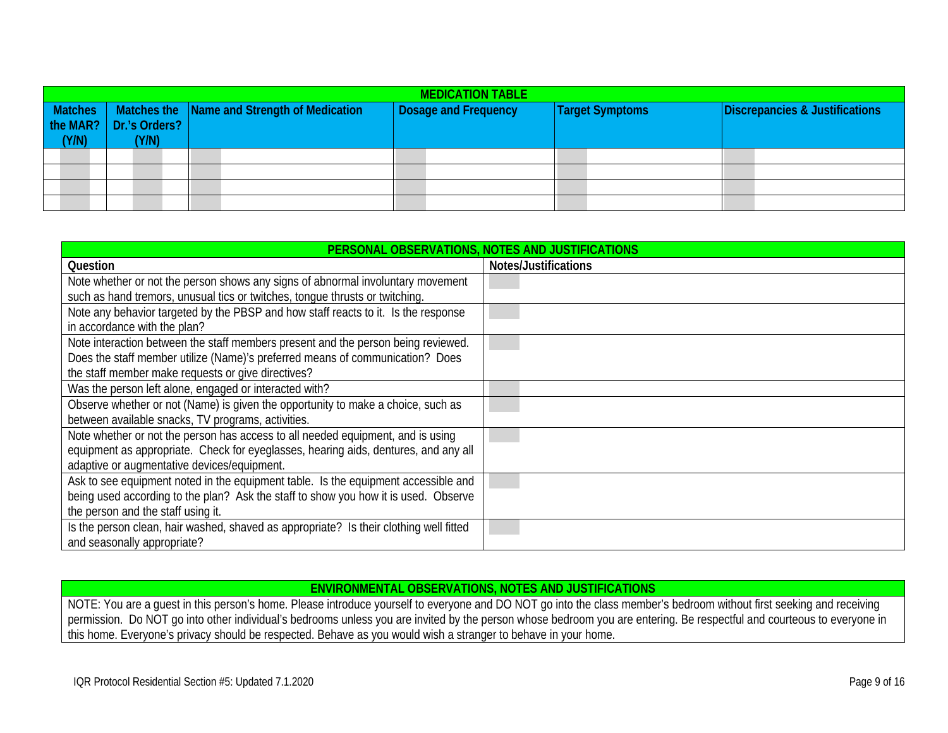| <b>MEDICATION TABLE</b> |                                   |                                             |                             |                        |                                |
|-------------------------|-----------------------------------|---------------------------------------------|-----------------------------|------------------------|--------------------------------|
| Matches<br>(Y/N)        | the MAR?   Dr.'s Orders?<br>(Y/N) | Matches the Name and Strength of Medication | <b>Dosage and Frequency</b> | <b>Target Symptoms</b> | Discrepancies & Justifications |
|                         |                                   |                                             |                             |                        |                                |
|                         |                                   |                                             |                             |                        |                                |
|                         |                                   |                                             |                             |                        |                                |
|                         |                                   |                                             |                             |                        |                                |

<span id="page-8-0"></span>

| PERSONAL OBSERVATIONS, NOTES AND JUSTIFICATIONS                                        |                      |  |  |
|----------------------------------------------------------------------------------------|----------------------|--|--|
| <b>Question</b>                                                                        | Notes/Justifications |  |  |
| Note whether or not the person shows any signs of abnormal involuntary movement        |                      |  |  |
| such as hand tremors, unusual tics or twitches, tonque thrusts or twitching.           |                      |  |  |
| Note any behavior targeted by the PBSP and how staff reacts to it. Is the response     |                      |  |  |
| in accordance with the plan?                                                           |                      |  |  |
| Note interaction between the staff members present and the person being reviewed.      |                      |  |  |
| Does the staff member utilize (Name)'s preferred means of communication? Does          |                      |  |  |
| the staff member make requests or give directives?                                     |                      |  |  |
| Was the person left alone, engaged or interacted with?                                 |                      |  |  |
| Observe whether or not (Name) is given the opportunity to make a choice, such as       |                      |  |  |
| between available snacks, TV programs, activities.                                     |                      |  |  |
| Note whether or not the person has access to all needed equipment, and is using        |                      |  |  |
| equipment as appropriate. Check for eyeglasses, hearing aids, dentures, and any all    |                      |  |  |
| adaptive or augmentative devices/equipment.                                            |                      |  |  |
| Ask to see equipment noted in the equipment table. Is the equipment accessible and     |                      |  |  |
| being used according to the plan? Ask the staff to show you how it is used. Observe    |                      |  |  |
| the person and the staff using it.                                                     |                      |  |  |
| Is the person clean, hair washed, shaved as appropriate? Is their clothing well fitted |                      |  |  |
| and seasonally appropriate?                                                            |                      |  |  |

#### **ENVIRONMENTAL OBSERVATIONS, NOTES AND JUSTIFICATIONS**

<span id="page-8-1"></span>NOTE: You are a guest in this person's home. Please introduce yourself to everyone and DO NOT go into the class member's bedroom without first seeking and receiving permission. Do NOT go into other individual's bedrooms unless you are invited by the person whose bedroom you are entering. Be respectful and courteous to everyone in this home. Everyone's privacy should be respected. Behave as you would wish a stranger to behave in your home.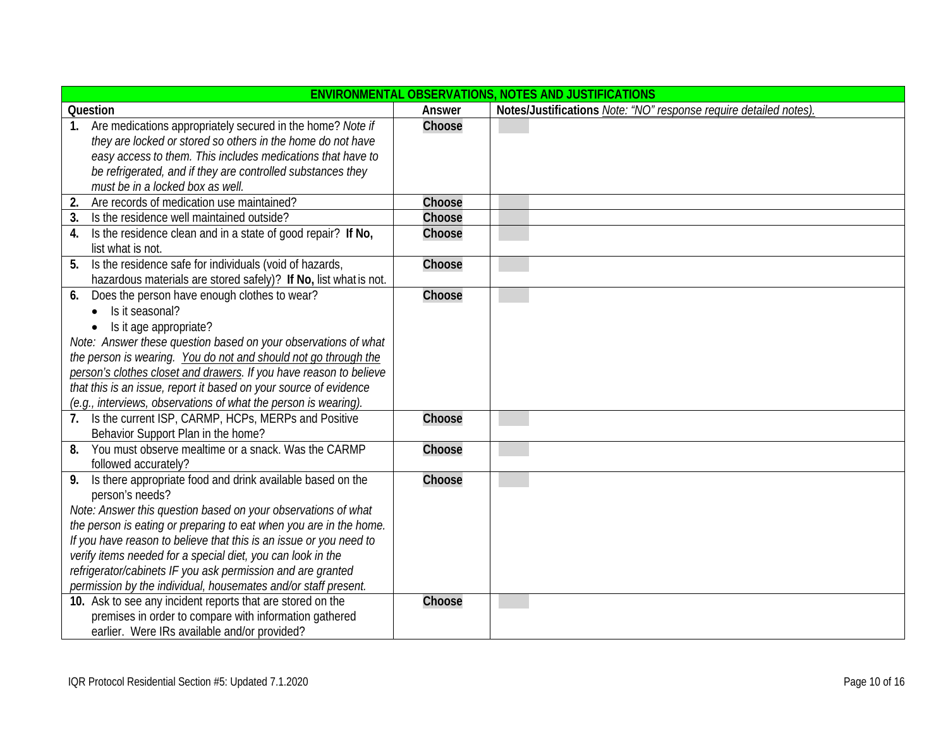| <b>ENVIRONMENTAL OBSERVATIONS, NOTES AND JUSTIFICATIONS</b>        |        |                                                                   |  |
|--------------------------------------------------------------------|--------|-------------------------------------------------------------------|--|
| Question                                                           | Answer | Notes/Justifications Note: "NO" response require detailed notes). |  |
| Are medications appropriately secured in the home? Note if<br>1.   | Choose |                                                                   |  |
| they are locked or stored so others in the home do not have        |        |                                                                   |  |
| easy access to them. This includes medications that have to        |        |                                                                   |  |
| be refrigerated, and if they are controlled substances they        |        |                                                                   |  |
| must be in a locked box as well.                                   |        |                                                                   |  |
| Are records of medication use maintained?<br>2.                    | Choose |                                                                   |  |
| Is the residence well maintained outside?<br>3.                    | Choose |                                                                   |  |
| Is the residence clean and in a state of good repair? If No,<br>4. | Choose |                                                                   |  |
| list what is not.                                                  |        |                                                                   |  |
| Is the residence safe for individuals (void of hazards,<br>5.      | Choose |                                                                   |  |
| hazardous materials are stored safely)? If No, list what is not.   |        |                                                                   |  |
| Does the person have enough clothes to wear?<br>6.                 | Choose |                                                                   |  |
| Is it seasonal?                                                    |        |                                                                   |  |
| Is it age appropriate?                                             |        |                                                                   |  |
| Note: Answer these question based on your observations of what     |        |                                                                   |  |
| the person is wearing. You do not and should not go through the    |        |                                                                   |  |
| person's clothes closet and drawers. If you have reason to believe |        |                                                                   |  |
| that this is an issue, report it based on your source of evidence  |        |                                                                   |  |
| (e.g., interviews, observations of what the person is wearing).    |        |                                                                   |  |
| 7. Is the current ISP, CARMP, HCPs, MERPs and Positive             | Choose |                                                                   |  |
| Behavior Support Plan in the home?                                 |        |                                                                   |  |
| You must observe mealtime or a snack. Was the CARMP<br>8.          | Choose |                                                                   |  |
| followed accurately?                                               |        |                                                                   |  |
| Is there appropriate food and drink available based on the<br>9.   | Choose |                                                                   |  |
| person's needs?                                                    |        |                                                                   |  |
| Note: Answer this question based on your observations of what      |        |                                                                   |  |
| the person is eating or preparing to eat when you are in the home. |        |                                                                   |  |
| If you have reason to believe that this is an issue or you need to |        |                                                                   |  |
| verify items needed for a special diet, you can look in the        |        |                                                                   |  |
| refrigerator/cabinets IF you ask permission and are granted        |        |                                                                   |  |
| permission by the individual, housemates and/or staff present.     |        |                                                                   |  |
| 10. Ask to see any incident reports that are stored on the         | Choose |                                                                   |  |
| premises in order to compare with information gathered             |        |                                                                   |  |
| earlier. Were IRs available and/or provided?                       |        |                                                                   |  |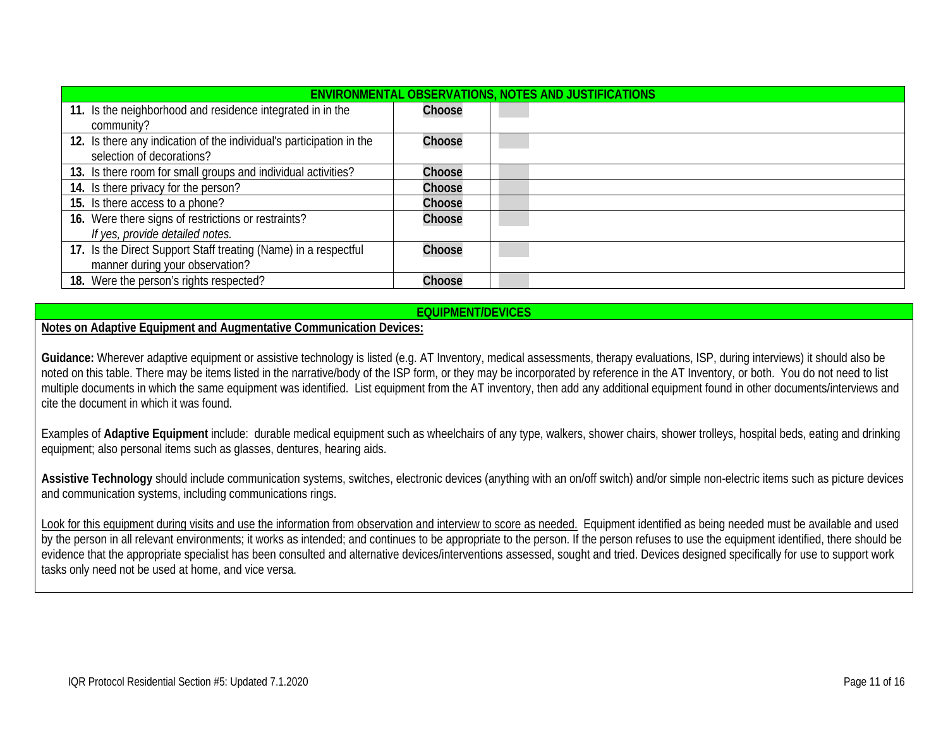| ENVIRONMENTAL OBSERVATIONS, NOTES AND JUSTIFICATIONS                                               |        |  |  |  |
|----------------------------------------------------------------------------------------------------|--------|--|--|--|
| 11. Is the neighborhood and residence integrated in in the<br>community?                           | Choose |  |  |  |
| 12. Is there any indication of the individual's participation in the<br>selection of decorations?  | Choose |  |  |  |
| 13. Is there room for small groups and individual activities?                                      | Choose |  |  |  |
| 14. Is there privacy for the person?                                                               | Choose |  |  |  |
| 15. Is there access to a phone?                                                                    | Choose |  |  |  |
| 16. Were there signs of restrictions or restraints?<br>If yes, provide detailed notes.             | Choose |  |  |  |
| 17. Is the Direct Support Staff treating (Name) in a respectful<br>manner during your observation? | Choose |  |  |  |
| 18. Were the person's rights respected?                                                            | Choose |  |  |  |

## **EQUIPMENT/DEVICES**

**Notes on Adaptive Equipment and Augmentative Communication Devices:** 

Guidance: Wherever adaptive equipment or assistive technology is listed (e.g. AT Inventory, medical assessments, therapy evaluations, ISP, during interviews) it should also be noted on this table. There may be items listed in the narrative/body of the ISP form, or they may be incorporated by reference in the AT Inventory, or both. You do not need to list multiple documents in which the same equipment was identified. List equipment from the AT inventory, then add any additional equipment found in other documents/interviews and cite the document in which it was found.

Examples of **Adaptive Equipment** include: durable medical equipment such as wheelchairs of any type, walkers, shower chairs, shower trolleys, hospital beds, eating and drinking equipment; also personal items such as glasses, dentures, hearing aids.

**Assistive Technology** should include communication systems, switches, electronic devices (anything with an on/off switch) and/or simple non-electric items such as picture devices and communication systems, including communications rings.

Look for this equipment during visits and use the information from observation and interview to score as needed. Equipment identified as being needed must be available and used by the person in all relevant environments; it works as intended; and continues to be appropriate to the person. If the person refuses to use the equipment identified, there should be evidence that the appropriate specialist has been consulted and alternative devices/interventions assessed, sought and tried. Devices designed specifically for use to support work tasks only need not be used at home, and vice versa.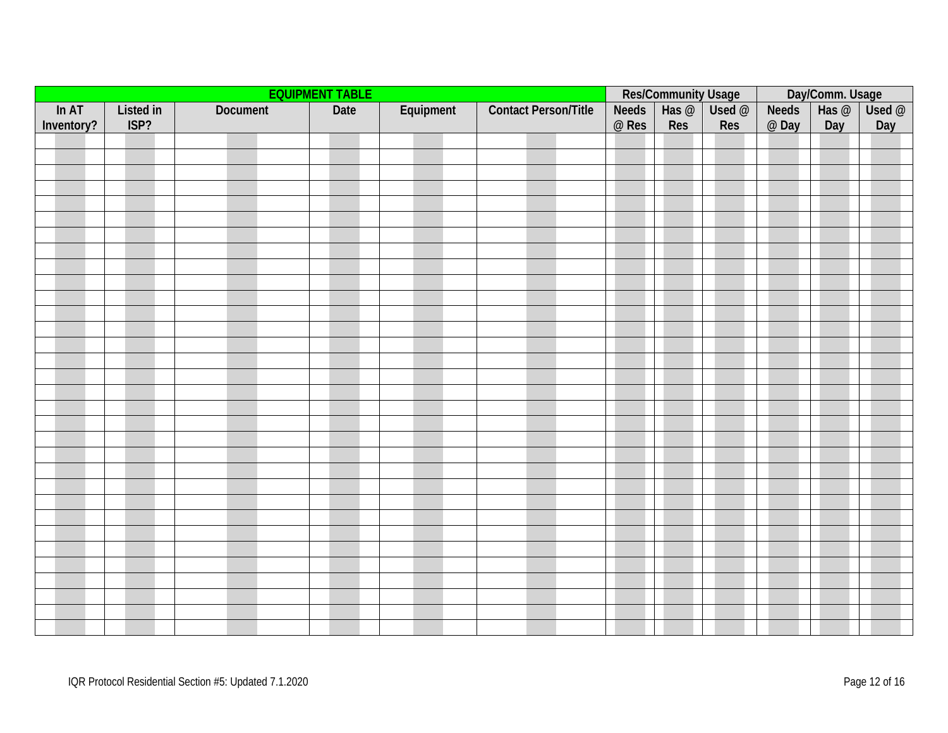<span id="page-11-0"></span>

|                     | <b>EQUIPMENT TABLE</b> |          |      | Res/Community Usage<br>Veeds   Has @   Used @ |                             |                       | Day/Comm. Usage<br>eds   Has @   Use |     |                       |     |                  |
|---------------------|------------------------|----------|------|-----------------------------------------------|-----------------------------|-----------------------|--------------------------------------|-----|-----------------------|-----|------------------|
| ln AT<br>Inventory? | Listed in<br>ISP?      | Document | Date | Equipment                                     | <b>Contact Person/Title</b> | <b>Needs</b><br>@ Res | Res                                  | Res | <b>Needs</b><br>@ Day | Day | $Use d$ @<br>Day |
|                     |                        |          |      |                                               |                             |                       |                                      |     |                       |     |                  |
|                     |                        |          |      |                                               |                             |                       |                                      |     |                       |     |                  |
|                     |                        |          |      |                                               |                             |                       |                                      |     |                       |     |                  |
|                     |                        |          |      |                                               |                             |                       |                                      |     |                       |     |                  |
|                     |                        |          |      |                                               |                             |                       |                                      |     |                       |     |                  |
|                     |                        |          |      |                                               |                             |                       |                                      |     |                       |     |                  |
|                     |                        |          |      |                                               |                             |                       |                                      |     |                       |     |                  |
|                     |                        |          |      |                                               |                             |                       |                                      |     |                       |     |                  |
|                     |                        |          |      |                                               |                             |                       |                                      |     |                       |     |                  |
|                     |                        |          |      |                                               |                             |                       |                                      |     |                       |     |                  |
|                     |                        |          |      |                                               |                             |                       |                                      |     |                       |     |                  |
|                     |                        |          |      |                                               |                             |                       |                                      |     |                       |     |                  |
|                     |                        |          |      |                                               |                             |                       |                                      |     |                       |     |                  |
|                     |                        |          |      |                                               |                             |                       |                                      |     |                       |     |                  |
|                     |                        |          |      |                                               |                             |                       |                                      |     |                       |     |                  |
|                     |                        |          |      |                                               |                             |                       |                                      |     |                       |     |                  |
|                     |                        |          |      |                                               |                             |                       |                                      |     |                       |     |                  |
|                     |                        |          |      |                                               |                             |                       |                                      |     |                       |     |                  |
|                     |                        |          |      |                                               |                             |                       |                                      |     |                       |     |                  |
|                     |                        |          |      |                                               |                             |                       |                                      |     |                       |     |                  |
|                     |                        |          |      |                                               |                             |                       |                                      |     |                       |     |                  |
|                     |                        |          |      |                                               |                             |                       |                                      |     |                       |     |                  |
|                     |                        |          |      |                                               |                             |                       |                                      |     |                       |     |                  |
|                     |                        |          |      |                                               |                             |                       |                                      |     |                       |     |                  |
|                     |                        |          |      |                                               |                             |                       |                                      |     |                       |     |                  |
|                     |                        |          |      |                                               |                             |                       |                                      |     |                       |     |                  |
|                     |                        |          |      |                                               |                             |                       |                                      |     |                       |     |                  |
|                     |                        |          |      |                                               |                             |                       |                                      |     |                       |     |                  |
|                     |                        |          |      |                                               |                             |                       |                                      |     |                       |     |                  |
|                     |                        |          |      |                                               |                             |                       |                                      |     |                       |     |                  |
|                     |                        |          |      |                                               |                             |                       |                                      |     |                       |     |                  |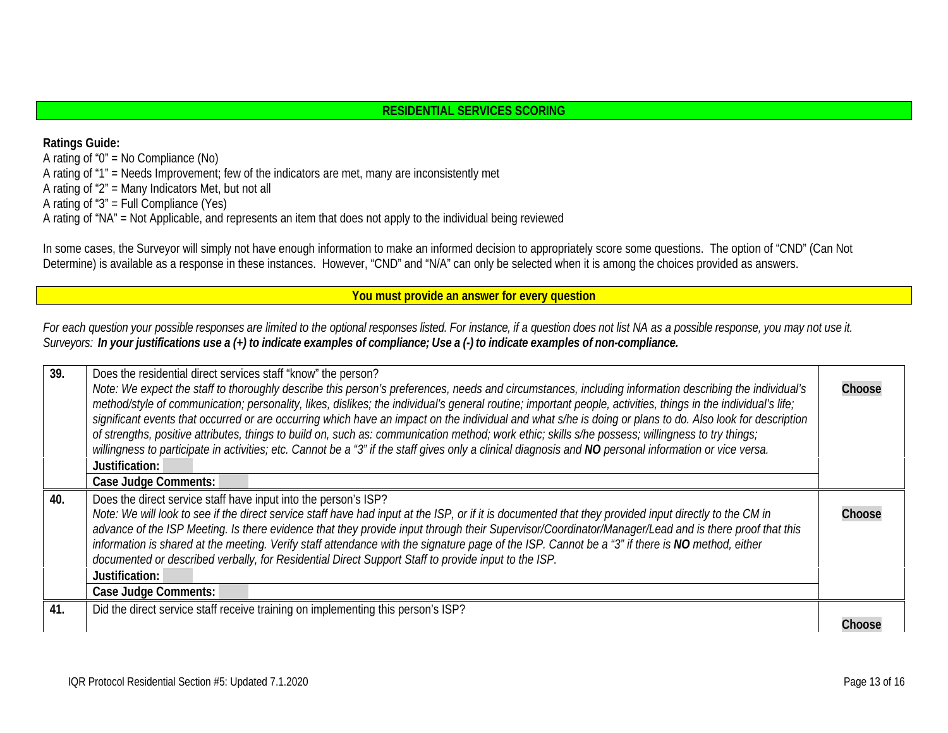## **RESIDENTIAL SERVICES SCORING**

<span id="page-12-0"></span>**Ratings Guide:** A rating of " $0$ " = No Compliance (No) A rating of "1" = Needs Improvement; few of the indicators are met, many are inconsistently met A rating of "2" = Many Indicators Met, but not all A rating of "3" = Full Compliance (Yes) A rating of "NA" = Not Applicable, and represents an item that does not apply to the individual being reviewed

In some cases, the Surveyor will simply not have enough information to make an informed decision to appropriately score some questions. The option of "CND" (Can Not Determine) is available as a response in these instances. However, "CND" and "N/A" can only be selected when it is among the choices provided as answers.

<span id="page-12-1"></span>**You must provide an answer for every question**

For each question your possible responses are limited to the optional responses listed. For instance, if a question does not list NA as a possible response, you may not use it. Surveyors: In your justifications use a (+) to indicate examples of compliance; Use a (-) to indicate examples of non-compliance.

| 39. | Does the residential direct services staff "know" the person?<br>Note: We expect the staff to thoroughly describe this person's preferences, needs and circumstances, including information describing the individual's<br>method/style of communication; personality, likes, dislikes; the individual's general routine; important people, activities, things in the individual's life;<br>significant events that occurred or are occurring which have an impact on the individual and what s/he is doing or plans to do. Also look for description<br>of strengths, positive attributes, things to build on, such as: communication method; work ethic; skills s/he possess; willingness to try things;<br>willingness to participate in activities; etc. Cannot be a "3" if the staff gives only a clinical diagnosis and NO personal information or vice versa.<br>Justification:<br><b>Case Judge Comments:</b> | Choose |
|-----|-----------------------------------------------------------------------------------------------------------------------------------------------------------------------------------------------------------------------------------------------------------------------------------------------------------------------------------------------------------------------------------------------------------------------------------------------------------------------------------------------------------------------------------------------------------------------------------------------------------------------------------------------------------------------------------------------------------------------------------------------------------------------------------------------------------------------------------------------------------------------------------------------------------------------|--------|
| 40. | Does the direct service staff have input into the person's ISP?<br>Note: We will look to see if the direct service staff have had input at the ISP, or if it is documented that they provided input directly to the CM in<br>advance of the ISP Meeting. Is there evidence that they provide input through their Supervisor/Coordinator/Manager/Lead and is there proof that this<br>information is shared at the meeting. Verify staff attendance with the signature page of the ISP. Cannot be a "3" if there is NO method, either<br>documented or described verbally, for Residential Direct Support Staff to provide input to the ISP.<br>Justification:<br>Case Judge Comments:                                                                                                                                                                                                                                 | Choose |
| 41. | Did the direct service staff receive training on implementing this person's ISP?                                                                                                                                                                                                                                                                                                                                                                                                                                                                                                                                                                                                                                                                                                                                                                                                                                      |        |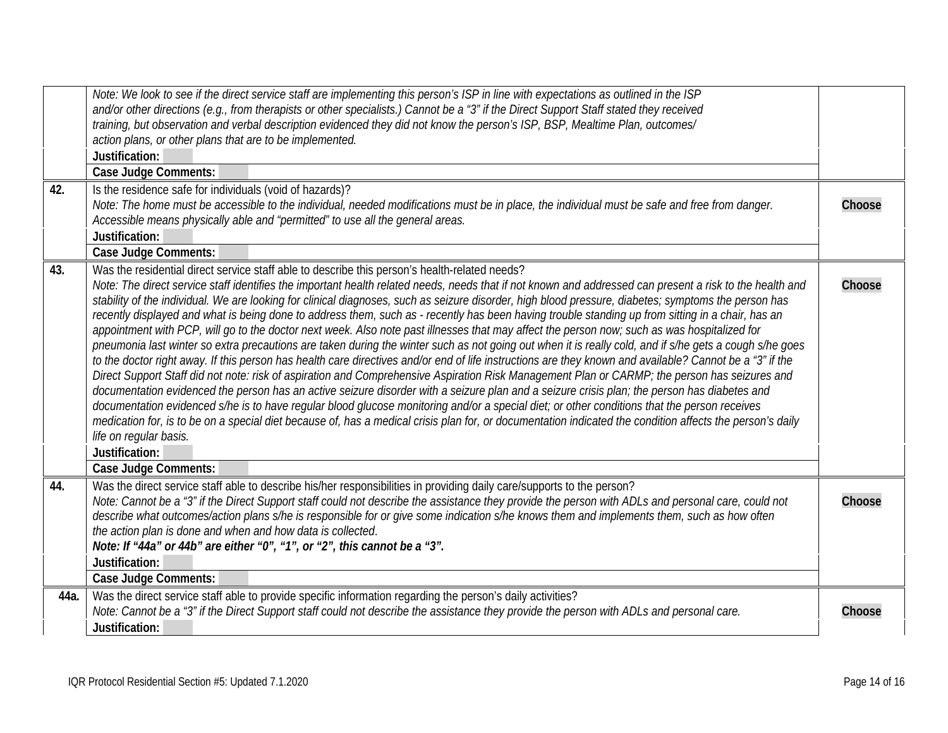<span id="page-13-3"></span><span id="page-13-2"></span><span id="page-13-1"></span><span id="page-13-0"></span>

|      | Note: We look to see if the direct service staff are implementing this person's ISP in line with expectations as outlined in the ISP<br>and/or other directions (e.g., from therapists or other specialists.) Cannot be a "3" if the Direct Support Staff stated they received<br>training, but observation and verbal description evidenced they did not know the person's ISP, BSP, Mealtime Plan, outcomes/<br>action plans, or other plans that are to be implemented.                                                                                                                                                                                                                                                                                                                                                                                                                                                                                                                                                                                                                                                                                                                                                                                                                                                                                                                                                                                                                                                                                                                                                                                                                                                             |        |
|------|----------------------------------------------------------------------------------------------------------------------------------------------------------------------------------------------------------------------------------------------------------------------------------------------------------------------------------------------------------------------------------------------------------------------------------------------------------------------------------------------------------------------------------------------------------------------------------------------------------------------------------------------------------------------------------------------------------------------------------------------------------------------------------------------------------------------------------------------------------------------------------------------------------------------------------------------------------------------------------------------------------------------------------------------------------------------------------------------------------------------------------------------------------------------------------------------------------------------------------------------------------------------------------------------------------------------------------------------------------------------------------------------------------------------------------------------------------------------------------------------------------------------------------------------------------------------------------------------------------------------------------------------------------------------------------------------------------------------------------------|--------|
|      | Justification:                                                                                                                                                                                                                                                                                                                                                                                                                                                                                                                                                                                                                                                                                                                                                                                                                                                                                                                                                                                                                                                                                                                                                                                                                                                                                                                                                                                                                                                                                                                                                                                                                                                                                                                         |        |
|      | <b>Case Judge Comments:</b>                                                                                                                                                                                                                                                                                                                                                                                                                                                                                                                                                                                                                                                                                                                                                                                                                                                                                                                                                                                                                                                                                                                                                                                                                                                                                                                                                                                                                                                                                                                                                                                                                                                                                                            |        |
| 42.  | Is the residence safe for individuals (void of hazards)?<br>Note: The home must be accessible to the individual, needed modifications must be in place, the individual must be safe and free from danger.<br>Accessible means physically able and "permitted" to use all the general areas.                                                                                                                                                                                                                                                                                                                                                                                                                                                                                                                                                                                                                                                                                                                                                                                                                                                                                                                                                                                                                                                                                                                                                                                                                                                                                                                                                                                                                                            | Choose |
|      | Justification:                                                                                                                                                                                                                                                                                                                                                                                                                                                                                                                                                                                                                                                                                                                                                                                                                                                                                                                                                                                                                                                                                                                                                                                                                                                                                                                                                                                                                                                                                                                                                                                                                                                                                                                         |        |
|      | <b>Case Judge Comments:</b>                                                                                                                                                                                                                                                                                                                                                                                                                                                                                                                                                                                                                                                                                                                                                                                                                                                                                                                                                                                                                                                                                                                                                                                                                                                                                                                                                                                                                                                                                                                                                                                                                                                                                                            |        |
| 43.  | Was the residential direct service staff able to describe this person's health-related needs?<br>Note: The direct service staff identifies the important health related needs, needs that if not known and addressed can present a risk to the health and<br>stability of the individual. We are looking for clinical diagnoses, such as seizure disorder, high blood pressure, diabetes; symptoms the person has<br>recently displayed and what is being done to address them, such as - recently has been having trouble standing up from sitting in a chair, has an<br>appointment with PCP, will go to the doctor next week. Also note past illnesses that may affect the person now; such as was hospitalized for<br>pneumonia last winter so extra precautions are taken during the winter such as not going out when it is really cold, and if s/he gets a cough s/he goes<br>to the doctor right away. If this person has health care directives and/or end of life instructions are they known and available? Cannot be a "3" if the<br>Direct Support Staff did not note: risk of aspiration and Comprehensive Aspiration Risk Management Plan or CARMP; the person has seizures and<br>documentation evidenced the person has an active seizure disorder with a seizure plan and a seizure crisis plan; the person has diabetes and<br>documentation evidenced s/he is to have regular blood glucose monitoring and/or a special diet; or other conditions that the person receives<br>medication for, is to be on a special diet because of, has a medical crisis plan for, or documentation indicated the condition affects the person's daily<br>life on regular basis.<br>Justification:<br><b>Case Judge Comments:</b> | Choose |
| 44.  | Was the direct service staff able to describe his/her responsibilities in providing daily care/supports to the person?<br>Note: Cannot be a "3" if the Direct Support staff could not describe the assistance they provide the person with ADLs and personal care, could not<br>describe what outcomes/action plans s/he is responsible for or give some indication s/he knows them and implements them, such as how often<br>the action plan is done and when and how data is collected.<br>Note: If "44a" or 44b" are either "0", "1", or "2", this cannot be a "3".                                                                                                                                                                                                                                                                                                                                                                                                                                                                                                                                                                                                                                                                                                                                                                                                                                                                                                                                                                                                                                                                                                                                                                 | Choose |
|      | Justification:                                                                                                                                                                                                                                                                                                                                                                                                                                                                                                                                                                                                                                                                                                                                                                                                                                                                                                                                                                                                                                                                                                                                                                                                                                                                                                                                                                                                                                                                                                                                                                                                                                                                                                                         |        |
|      | <b>Case Judge Comments:</b>                                                                                                                                                                                                                                                                                                                                                                                                                                                                                                                                                                                                                                                                                                                                                                                                                                                                                                                                                                                                                                                                                                                                                                                                                                                                                                                                                                                                                                                                                                                                                                                                                                                                                                            |        |
| 44a. | Was the direct service staff able to provide specific information regarding the person's daily activities?<br>Note: Cannot be a "3" if the Direct Support staff could not describe the assistance they provide the person with ADLs and personal care.<br>Justification:                                                                                                                                                                                                                                                                                                                                                                                                                                                                                                                                                                                                                                                                                                                                                                                                                                                                                                                                                                                                                                                                                                                                                                                                                                                                                                                                                                                                                                                               | Choose |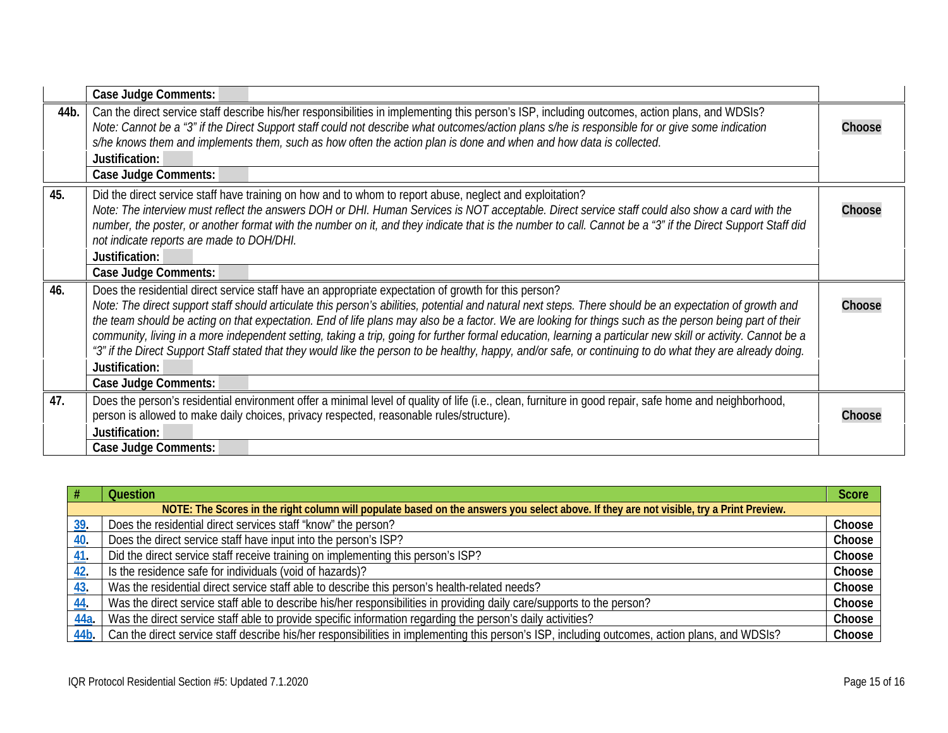<span id="page-14-1"></span><span id="page-14-0"></span>

|      | Case Judge Comments:                                                                                                                                                                                                                                                                                                                                                                                                                                                                                                                                                                                                                                                                                                                                                                                       |        |
|------|------------------------------------------------------------------------------------------------------------------------------------------------------------------------------------------------------------------------------------------------------------------------------------------------------------------------------------------------------------------------------------------------------------------------------------------------------------------------------------------------------------------------------------------------------------------------------------------------------------------------------------------------------------------------------------------------------------------------------------------------------------------------------------------------------------|--------|
| 44b. | Can the direct service staff describe his/her responsibilities in implementing this person's ISP, including outcomes, action plans, and WDSIs?<br>Note: Cannot be a "3" if the Direct Support staff could not describe what outcomes/action plans s/he is responsible for or give some indication<br>s/he knows them and implements them, such as how often the action plan is done and when and how data is collected.<br>Justification:<br>Case Judge Comments:                                                                                                                                                                                                                                                                                                                                          | Choose |
| 45.  | Did the direct service staff have training on how and to whom to report abuse, neglect and exploitation?<br>Note: The interview must reflect the answers DOH or DHI. Human Services is NOT acceptable. Direct service staff could also show a card with the<br>number, the poster, or another format with the number on it, and they indicate that is the number to call. Cannot be a "3" if the Direct Support Staff did<br>not indicate reports are made to DOH/DHI.<br>Justification:<br><b>Case Judge Comments:</b>                                                                                                                                                                                                                                                                                    | Choose |
| 46.  | Does the residential direct service staff have an appropriate expectation of growth for this person?<br>Note: The direct support staff should articulate this person's abilities, potential and natural next steps. There should be an expectation of growth and<br>the team should be acting on that expectation. End of life plans may also be a factor. We are looking for things such as the person being part of their<br>community, living in a more independent setting, taking a trip, going for further formal education, learning a particular new skill or activity. Cannot be a<br>"3" if the Direct Support Staff stated that they would like the person to be healthy, happy, and/or safe, or continuing to do what they are already doing.<br>Justification:<br><b>Case Judge Comments:</b> | Choose |
| 47.  | Does the person's residential environment offer a minimal level of quality of life (i.e., clean, furniture in good repair, safe home and neighborhood,<br>person is allowed to make daily choices, privacy respected, reasonable rules/structure).<br>Justification:<br>Case Judge Comments:                                                                                                                                                                                                                                                                                                                                                                                                                                                                                                               | Choose |

<span id="page-14-3"></span><span id="page-14-2"></span>

|            | <b>Question</b>                                                                                                                                | <b>Score</b> |
|------------|------------------------------------------------------------------------------------------------------------------------------------------------|--------------|
|            | NOTE: The Scores in the right column will populate based on the answers you select above. If they are not visible, try a Print Preview.        |              |
| 39.        | Does the residential direct services staff "know" the person?                                                                                  | Choose       |
| 40.        | Does the direct service staff have input into the person's ISP?                                                                                | Choose       |
| 41.        | Did the direct service staff receive training on implementing this person's ISP?                                                               | Choose       |
| <u>42.</u> | Is the residence safe for individuals (void of hazards)?                                                                                       | Choose       |
| <u>43</u>  | Was the residential direct service staff able to describe this person's health-related needs?                                                  | Choose       |
| 44.        | Was the direct service staff able to describe his/her responsibilities in providing daily care/supports to the person?                         | Choose       |
| 44a.       | Was the direct service staff able to provide specific information regarding the person's daily activities?                                     | Choose       |
| 44b.       | Can the direct service staff describe his/her responsibilities in implementing this person's ISP, including outcomes, action plans, and WDSIs? | Choose       |